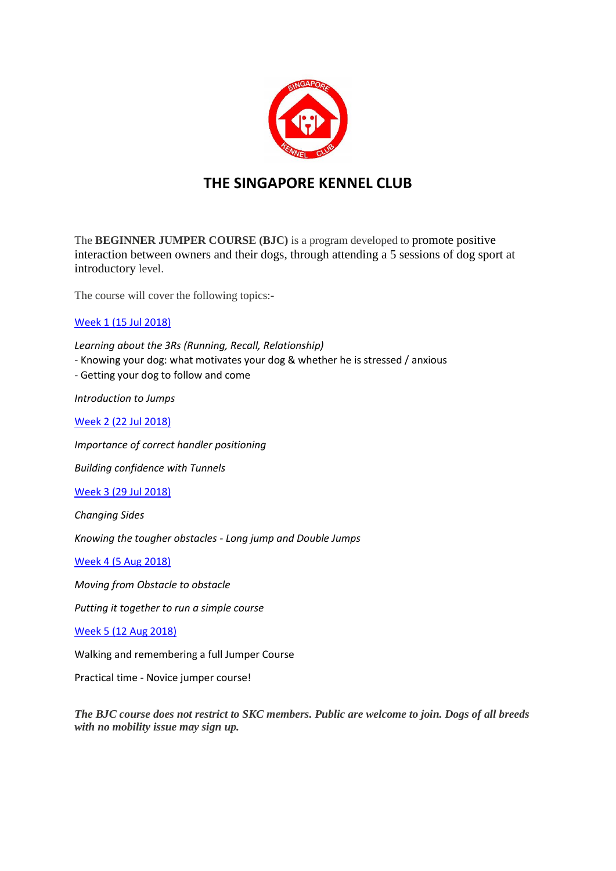

# **THE SINGAPORE KENNEL CLUB**

The **BEGINNER JUMPER COURSE (BJC)** is a program developed to promote positive interaction between owners and their dogs, through attending a 5 sessions of dog sport at introductory level.

The course will cover the following topics:-

# Week 1 (15 Jul 2018)

*Learning about the 3Rs (Running, Recall, Relationship)*

*-* Knowing your dog: what motivates your dog & whether he is stressed / anxious

*-* Getting your dog to follow and come

*Introduction to Jumps*

Week 2 (22 Jul 2018)

*Importance of correct handler positioning*

*Building confidence with Tunnels* 

Week 3 (29 Jul 2018)

*Changing Sides*

*Knowing the tougher obstacles - Long jump and Double Jumps* 

Week 4 (5 Aug 2018)

*Moving from Obstacle to obstacle*

*Putting it together to run a simple course*

## Week 5 (12 Aug 2018)

Walking and remembering a full Jumper Course

Practical time - Novice jumper course!

*The BJC course does not restrict to SKC members. Public are welcome to join. Dogs of all breeds with no mobility issue may sign up.*